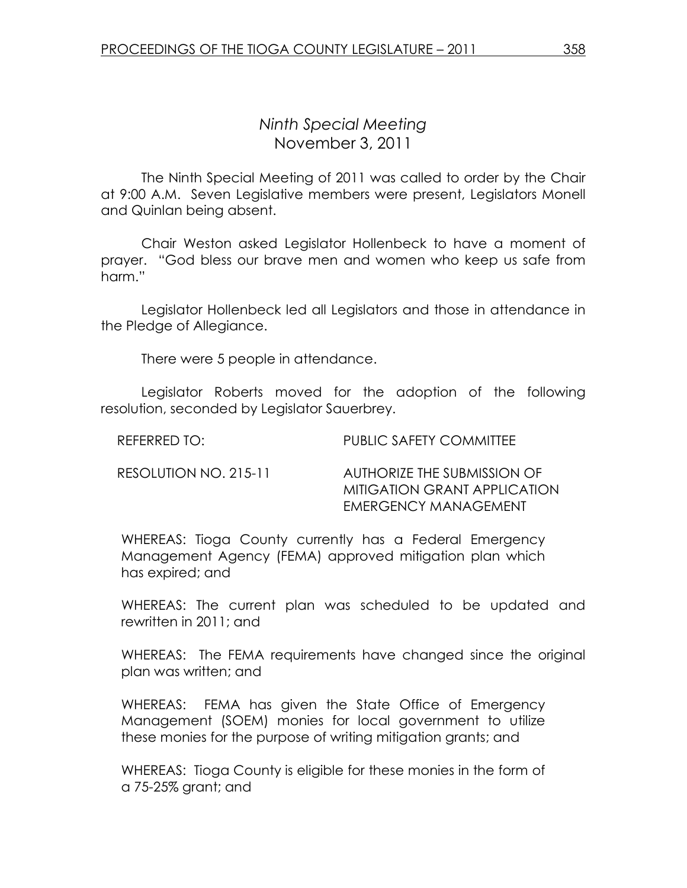## Ninth Special Meeting November 3, 2011

 The Ninth Special Meeting of 2011 was called to order by the Chair at 9:00 A.M. Seven Legislative members were present, Legislators Monell and Quinlan being absent.

Chair Weston asked Legislator Hollenbeck to have a moment of prayer. "God bless our brave men and women who keep us safe from harm."

 Legislator Hollenbeck led all Legislators and those in attendance in the Pledge of Allegiance.

There were 5 people in attendance.

 Legislator Roberts moved for the adoption of the following resolution, seconded by Legislator Sauerbrey.

| REFERRED TO: | <b>PUBLIC SAFETY COMMITTEE</b> |
|--------------|--------------------------------|
|              |                                |

RESOLUTION NO. 215-11 AUTHORIZE THE SUBMISSION OF MITIGATION GRANT APPLICATION EMERGENCY MANAGEMENT

WHEREAS: Tioga County currently has a Federal Emergency Management Agency (FEMA) approved mitigation plan which has expired; and

WHEREAS: The current plan was scheduled to be updated and rewritten in 2011; and

WHEREAS: The FEMA requirements have changed since the original plan was written; and

WHEREAS: FEMA has given the State Office of Emergency Management (SOEM) monies for local government to utilize these monies for the purpose of writing mitigation grants; and

WHEREAS: Tioga County is eligible for these monies in the form of a 75-25% grant; and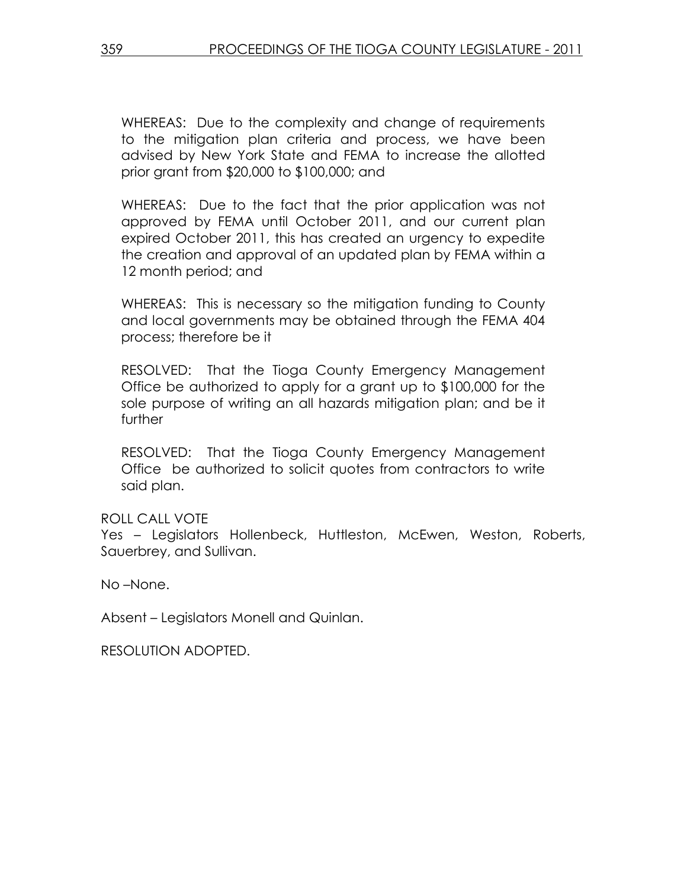WHEREAS: Due to the complexity and change of requirements to the mitigation plan criteria and process, we have been advised by New York State and FEMA to increase the allotted prior grant from \$20,000 to \$100,000; and

WHEREAS: Due to the fact that the prior application was not approved by FEMA until October 2011, and our current plan expired October 2011, this has created an urgency to expedite the creation and approval of an updated plan by FEMA within a 12 month period; and

WHEREAS: This is necessary so the mitigation funding to County and local governments may be obtained through the FEMA 404 process; therefore be it

RESOLVED: That the Tioga County Emergency Management Office be authorized to apply for a grant up to \$100,000 for the sole purpose of writing an all hazards mitigation plan; and be it further

RESOLVED: That the Tioga County Emergency Management Office be authorized to solicit quotes from contractors to write said plan.

ROLL CALL VOTE

Yes – Legislators Hollenbeck, Huttleston, McEwen, Weston, Roberts, Sauerbrey, and Sullivan.

No –None.

Absent – Legislators Monell and Quinlan.

RESOLUTION ADOPTED.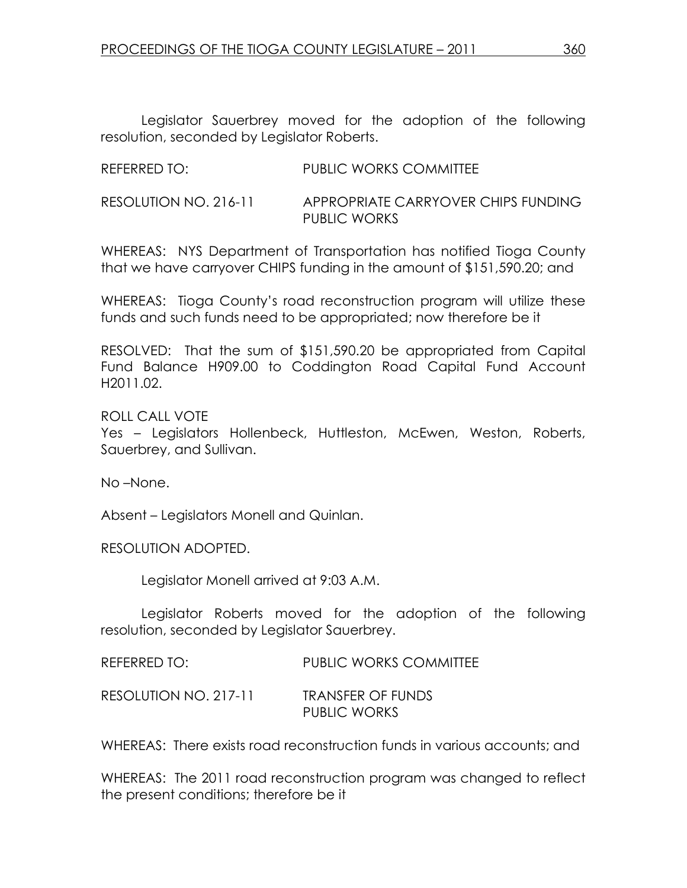Legislator Sauerbrey moved for the adoption of the following resolution, seconded by Legislator Roberts.

| REFERRED TO:          | <b>PUBLIC WORKS COMMITTEE</b>       |
|-----------------------|-------------------------------------|
| RESOLUTION NO. 216-11 | APPROPRIATE CARRYOVER CHIPS FUNDING |

WHEREAS: NYS Department of Transportation has notified Tioga County that we have carryover CHIPS funding in the amount of \$151,590.20; and

PUBLIC WORKS

WHEREAS: Tioga County's road reconstruction program will utilize these funds and such funds need to be appropriated; now therefore be it

RESOLVED: That the sum of \$151,590.20 be appropriated from Capital Fund Balance H909.00 to Coddington Road Capital Fund Account H2011.02.

ROLL CALL VOTE

Yes – Legislators Hollenbeck, Huttleston, McEwen, Weston, Roberts, Sauerbrey, and Sullivan.

No –None.

Absent – Legislators Monell and Quinlan.

RESOLUTION ADOPTED.

Legislator Monell arrived at 9:03 A.M.

 Legislator Roberts moved for the adoption of the following resolution, seconded by Legislator Sauerbrey.

REFERRED TO: PUBLIC WORKS COMMITTEE

RESOLUTION NO. 217-11 TRANSFER OF FUNDS

PUBLIC WORKS

WHEREAS: There exists road reconstruction funds in various accounts; and

WHEREAS: The 2011 road reconstruction program was changed to reflect the present conditions; therefore be it